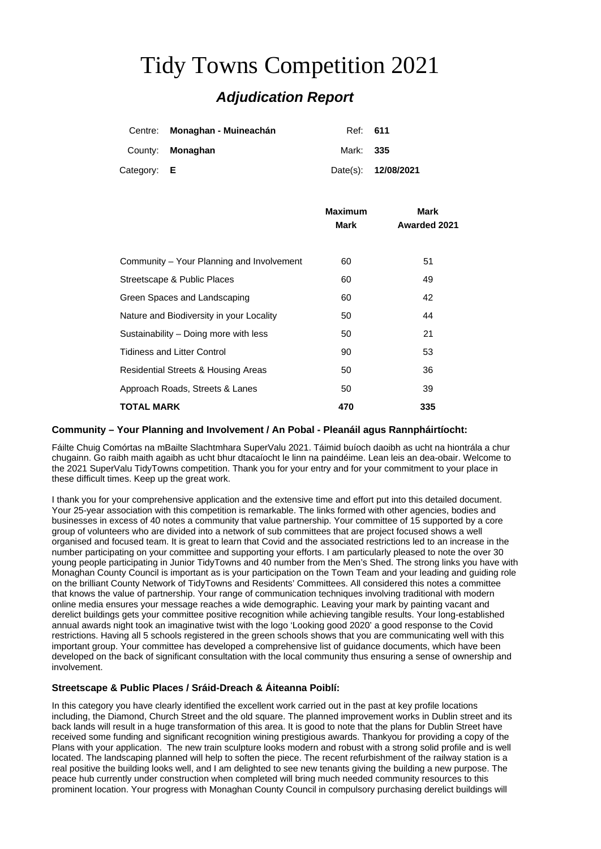# Tidy Towns Competition 2021 *Adjudication Report*

|             | Centre: Monaghan - Muineachán | Ref: <b>611</b> |                     |
|-------------|-------------------------------|-----------------|---------------------|
|             | County: <b>Monaghan</b>       | Mark: 335       |                     |
| Category: E |                               |                 | Date(s): 12/08/2021 |

|                                           | Maximum | Mark                |
|-------------------------------------------|---------|---------------------|
|                                           | Mark    | <b>Awarded 2021</b> |
|                                           |         |                     |
| Community – Your Planning and Involvement | 60      | 51                  |
| Streetscape & Public Places               | 60      | 49                  |
| Green Spaces and Landscaping              | 60      | 42                  |
| Nature and Biodiversity in your Locality  | 50      | 44                  |
| Sustainability – Doing more with less     | 50      | 21                  |
| <b>Tidiness and Litter Control</b>        | 90      | 53                  |
| Residential Streets & Housing Areas       | 50      | 36                  |
| Approach Roads, Streets & Lanes           | 50      | 39                  |
| <b>TOTAL MARK</b>                         | 470     | 335                 |

## **Community – Your Planning and Involvement / An Pobal - Pleanáil agus Rannpháirtíocht:**

Fáilte Chuig Comórtas na mBailte Slachtmhara SuperValu 2021. Táimid buíoch daoibh as ucht na hiontrála a chur chugainn. Go raibh maith agaibh as ucht bhur dtacaíocht le linn na paindéime. Lean leis an dea-obair. Welcome to the 2021 SuperValu TidyTowns competition. Thank you for your entry and for your commitment to your place in these difficult times. Keep up the great work.

I thank you for your comprehensive application and the extensive time and effort put into this detailed document. Your 25-year association with this competition is remarkable. The links formed with other agencies, bodies and businesses in excess of 40 notes a community that value partnership. Your committee of 15 supported by a core group of volunteers who are divided into a network of sub committees that are project focused shows a well organised and focused team. It is great to learn that Covid and the associated restrictions led to an increase in the number participating on your committee and supporting your efforts. I am particularly pleased to note the over 30 young people participating in Junior TidyTowns and 40 number from the Men's Shed. The strong links you have with Monaghan County Council is important as is your participation on the Town Team and your leading and guiding role on the brilliant County Network of TidyTowns and Residents' Committees. All considered this notes a committee that knows the value of partnership. Your range of communication techniques involving traditional with modern online media ensures your message reaches a wide demographic. Leaving your mark by painting vacant and derelict buildings gets your committee positive recognition while achieving tangible results. Your long-established annual awards night took an imaginative twist with the logo 'Looking good 2020' a good response to the Covid restrictions. Having all 5 schools registered in the green schools shows that you are communicating well with this important group. Your committee has developed a comprehensive list of guidance documents, which have been developed on the back of significant consultation with the local community thus ensuring a sense of ownership and involvement.

## **Streetscape & Public Places / Sráid-Dreach & Áiteanna Poiblí:**

In this category you have clearly identified the excellent work carried out in the past at key profile locations including, the Diamond, Church Street and the old square. The planned improvement works in Dublin street and its back lands will result in a huge transformation of this area. It is good to note that the plans for Dublin Street have received some funding and significant recognition wining prestigious awards. Thankyou for providing a copy of the Plans with your application. The new train sculpture looks modern and robust with a strong solid profile and is well located. The landscaping planned will help to soften the piece. The recent refurbishment of the railway station is a real positive the building looks well, and I am delighted to see new tenants giving the building a new purpose. The peace hub currently under construction when completed will bring much needed community resources to this prominent location. Your progress with Monaghan County Council in compulsory purchasing derelict buildings will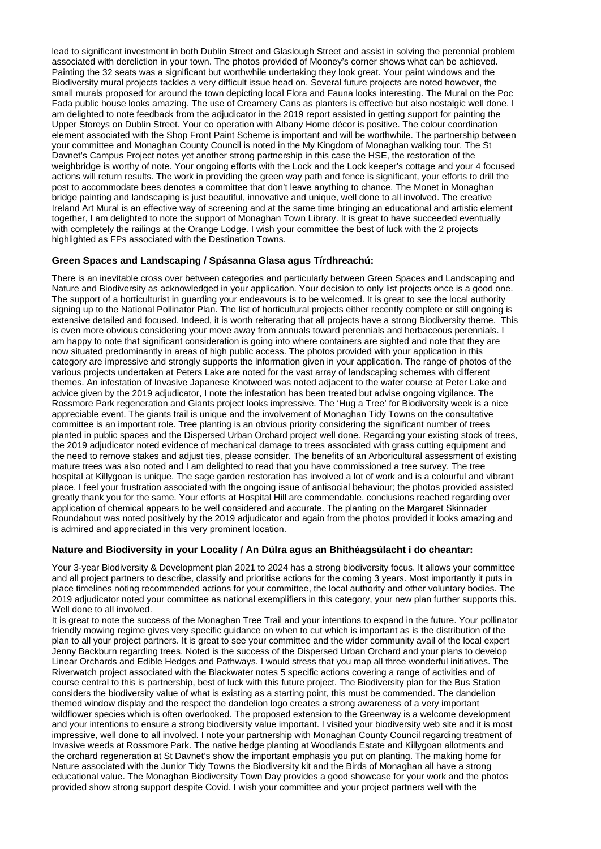lead to significant investment in both Dublin Street and Glaslough Street and assist in solving the perennial problem associated with dereliction in your town. The photos provided of Mooney's corner shows what can be achieved. Painting the 32 seats was a significant but worthwhile undertaking they look great. Your paint windows and the Biodiversity mural projects tackles a very difficult issue head on. Several future projects are noted however, the small murals proposed for around the town depicting local Flora and Fauna looks interesting. The Mural on the Poc Fada public house looks amazing. The use of Creamery Cans as planters is effective but also nostalgic well done. I am delighted to note feedback from the adjudicator in the 2019 report assisted in getting support for painting the Upper Storeys on Dublin Street. Your co operation with Albany Home décor is positive. The colour coordination element associated with the Shop Front Paint Scheme is important and will be worthwhile. The partnership between your committee and Monaghan County Council is noted in the My Kingdom of Monaghan walking tour. The St Davnet's Campus Project notes yet another strong partnership in this case the HSE, the restoration of the weighbridge is worthy of note. Your ongoing efforts with the Lock and the Lock keeper's cottage and your 4 focused actions will return results. The work in providing the green way path and fence is significant, your efforts to drill the post to accommodate bees denotes a committee that don't leave anything to chance. The Monet in Monaghan bridge painting and landscaping is just beautiful, innovative and unique, well done to all involved. The creative Ireland Art Mural is an effective way of screening and at the same time bringing an educational and artistic element together, I am delighted to note the support of Monaghan Town Library. It is great to have succeeded eventually with completely the railings at the Orange Lodge. I wish your committee the best of luck with the 2 projects highlighted as FPs associated with the Destination Towns.

## **Green Spaces and Landscaping / Spásanna Glasa agus Tírdhreachú:**

There is an inevitable cross over between categories and particularly between Green Spaces and Landscaping and Nature and Biodiversity as acknowledged in your application. Your decision to only list projects once is a good one. The support of a horticulturist in guarding your endeavours is to be welcomed. It is great to see the local authority signing up to the National Pollinator Plan. The list of horticultural projects either recently complete or still ongoing is extensive detailed and focused. Indeed, it is worth reiterating that all projects have a strong Biodiversity theme. This is even more obvious considering your move away from annuals toward perennials and herbaceous perennials. I am happy to note that significant consideration is going into where containers are sighted and note that they are now situated predominantly in areas of high public access. The photos provided with your application in this category are impressive and strongly supports the information given in your application. The range of photos of the various projects undertaken at Peters Lake are noted for the vast array of landscaping schemes with different themes. An infestation of Invasive Japanese Knotweed was noted adjacent to the water course at Peter Lake and advice given by the 2019 adjudicator, I note the infestation has been treated but advise ongoing vigilance. The Rossmore Park regeneration and Giants project looks impressive. The 'Hug a Tree' for Biodiversity week is a nice appreciable event. The giants trail is unique and the involvement of Monaghan Tidy Towns on the consultative committee is an important role. Tree planting is an obvious priority considering the significant number of trees planted in public spaces and the Dispersed Urban Orchard project well done. Regarding your existing stock of trees, the 2019 adjudicator noted evidence of mechanical damage to trees associated with grass cutting equipment and the need to remove stakes and adjust ties, please consider. The benefits of an Arboricultural assessment of existing mature trees was also noted and I am delighted to read that you have commissioned a tree survey. The tree hospital at Killygoan is unique. The sage garden restoration has involved a lot of work and is a colourful and vibrant place. I feel your frustration associated with the ongoing issue of antisocial behaviour; the photos provided assisted greatly thank you for the same. Your efforts at Hospital Hill are commendable, conclusions reached regarding over application of chemical appears to be well considered and accurate. The planting on the Margaret Skinnader Roundabout was noted positively by the 2019 adjudicator and again from the photos provided it looks amazing and is admired and appreciated in this very prominent location.

## **Nature and Biodiversity in your Locality / An Dúlra agus an Bhithéagsúlacht i do cheantar:**

Your 3-year Biodiversity & Development plan 2021 to 2024 has a strong biodiversity focus. It allows your committee and all project partners to describe, classify and prioritise actions for the coming 3 years. Most importantly it puts in place timelines noting recommended actions for your committee, the local authority and other voluntary bodies. The 2019 adjudicator noted your committee as national exemplifiers in this category, your new plan further supports this. Well done to all involved.

It is great to note the success of the Monaghan Tree Trail and your intentions to expand in the future. Your pollinator friendly mowing regime gives very specific guidance on when to cut which is important as is the distribution of the plan to all your project partners. It is great to see your committee and the wider community avail of the local expert Jenny Backburn regarding trees. Noted is the success of the Dispersed Urban Orchard and your plans to develop Linear Orchards and Edible Hedges and Pathways. I would stress that you map all three wonderful initiatives. The Riverwatch project associated with the Blackwater notes 5 specific actions covering a range of activities and of course central to this is partnership, best of luck with this future project. The Biodiversity plan for the Bus Station considers the biodiversity value of what is existing as a starting point, this must be commended. The dandelion themed window display and the respect the dandelion logo creates a strong awareness of a very important wildflower species which is often overlooked. The proposed extension to the Greenway is a welcome development and your intentions to ensure a strong biodiversity value important. I visited your biodiversity web site and it is most impressive, well done to all involved. I note your partnership with Monaghan County Council regarding treatment of Invasive weeds at Rossmore Park. The native hedge planting at Woodlands Estate and Killygoan allotments and the orchard regeneration at St Davnet's show the important emphasis you put on planting. The making home for Nature associated with the Junior Tidy Towns the Biodiversity kit and the Birds of Monaghan all have a strong educational value. The Monaghan Biodiversity Town Day provides a good showcase for your work and the photos provided show strong support despite Covid. I wish your committee and your project partners well with the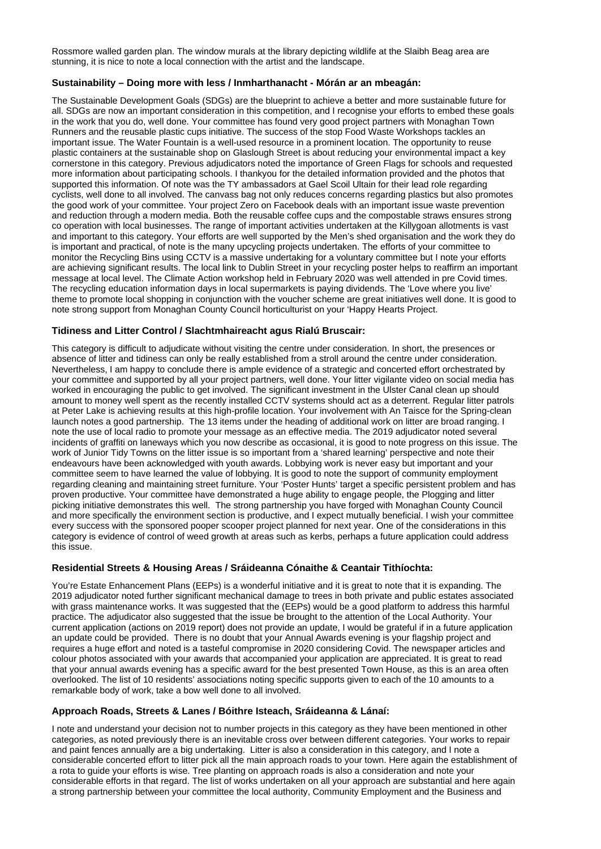Rossmore walled garden plan. The window murals at the library depicting wildlife at the Slaibh Beag area are stunning, it is nice to note a local connection with the artist and the landscape.

## **Sustainability – Doing more with less / Inmharthanacht - Mórán ar an mbeagán:**

The Sustainable Development Goals (SDGs) are the blueprint to achieve a better and more sustainable future for all. SDGs are now an important consideration in this competition, and I recognise your efforts to embed these goals in the work that you do, well done. Your committee has found very good project partners with Monaghan Town Runners and the reusable plastic cups initiative. The success of the stop Food Waste Workshops tackles an important issue. The Water Fountain is a well-used resource in a prominent location. The opportunity to reuse plastic containers at the sustainable shop on Glaslough Street is about reducing your environmental impact a key cornerstone in this category. Previous adjudicators noted the importance of Green Flags for schools and requested more information about participating schools. I thankyou for the detailed information provided and the photos that supported this information. Of note was the TY ambassadors at Gael Scoil Ultain for their lead role regarding cyclists, well done to all involved. The canvass bag not only reduces concerns regarding plastics but also promotes the good work of your committee. Your project Zero on Facebook deals with an important issue waste prevention and reduction through a modern media. Both the reusable coffee cups and the compostable straws ensures strong co operation with local businesses. The range of important activities undertaken at the Killygoan allotments is vast and important to this category. Your efforts are well supported by the Men's shed organisation and the work they do is important and practical, of note is the many upcycling projects undertaken. The efforts of your committee to monitor the Recycling Bins using CCTV is a massive undertaking for a voluntary committee but I note your efforts are achieving significant results. The local link to Dublin Street in your recycling poster helps to reaffirm an important message at local level. The Climate Action workshop held in February 2020 was well attended in pre Covid times. The recycling education information days in local supermarkets is paying dividends. The 'Love where you live' theme to promote local shopping in conjunction with the voucher scheme are great initiatives well done. It is good to note strong support from Monaghan County Council horticulturist on your 'Happy Hearts Project.

## **Tidiness and Litter Control / Slachtmhaireacht agus Rialú Bruscair:**

This category is difficult to adjudicate without visiting the centre under consideration. In short, the presences or absence of litter and tidiness can only be really established from a stroll around the centre under consideration. Nevertheless, I am happy to conclude there is ample evidence of a strategic and concerted effort orchestrated by your committee and supported by all your project partners, well done. Your litter vigilante video on social media has worked in encouraging the public to get involved. The significant investment in the Ulster Canal clean up should amount to money well spent as the recently installed CCTV systems should act as a deterrent. Regular litter patrols at Peter Lake is achieving results at this high-profile location. Your involvement with An Taisce for the Spring-clean launch notes a good partnership. The 13 items under the heading of additional work on litter are broad ranging. I note the use of local radio to promote your message as an effective media. The 2019 adjudicator noted several incidents of graffiti on laneways which you now describe as occasional, it is good to note progress on this issue. The work of Junior Tidy Towns on the litter issue is so important from a 'shared learning' perspective and note their endeavours have been acknowledged with youth awards. Lobbying work is never easy but important and your committee seem to have learned the value of lobbying. It is good to note the support of community employment regarding cleaning and maintaining street furniture. Your 'Poster Hunts' target a specific persistent problem and has proven productive. Your committee have demonstrated a huge ability to engage people, the Plogging and litter picking initiative demonstrates this well. The strong partnership you have forged with Monaghan County Council and more specifically the environment section is productive, and I expect mutually beneficial. I wish your committee every success with the sponsored pooper scooper project planned for next year. One of the considerations in this category is evidence of control of weed growth at areas such as kerbs, perhaps a future application could address this issue.

## **Residential Streets & Housing Areas / Sráideanna Cónaithe & Ceantair Tithíochta:**

You're Estate Enhancement Plans (EEPs) is a wonderful initiative and it is great to note that it is expanding. The 2019 adjudicator noted further significant mechanical damage to trees in both private and public estates associated with grass maintenance works. It was suggested that the (EEPs) would be a good platform to address this harmful practice. The adjudicator also suggested that the issue be brought to the attention of the Local Authority. Your current application (actions on 2019 report) does not provide an update, I would be grateful if in a future application an update could be provided. There is no doubt that your Annual Awards evening is your flagship project and requires a huge effort and noted is a tasteful compromise in 2020 considering Covid. The newspaper articles and colour photos associated with your awards that accompanied your application are appreciated. It is great to read that your annual awards evening has a specific award for the best presented Town House, as this is an area often overlooked. The list of 10 residents' associations noting specific supports given to each of the 10 amounts to a remarkable body of work, take a bow well done to all involved.

## **Approach Roads, Streets & Lanes / Bóithre Isteach, Sráideanna & Lánaí:**

I note and understand your decision not to number projects in this category as they have been mentioned in other categories, as noted previously there is an inevitable cross over between different categories. Your works to repair and paint fences annually are a big undertaking. Litter is also a consideration in this category, and I note a considerable concerted effort to litter pick all the main approach roads to your town. Here again the establishment of a rota to guide your efforts is wise. Tree planting on approach roads is also a consideration and note your considerable efforts in that regard. The list of works undertaken on all your approach are substantial and here again a strong partnership between your committee the local authority, Community Employment and the Business and